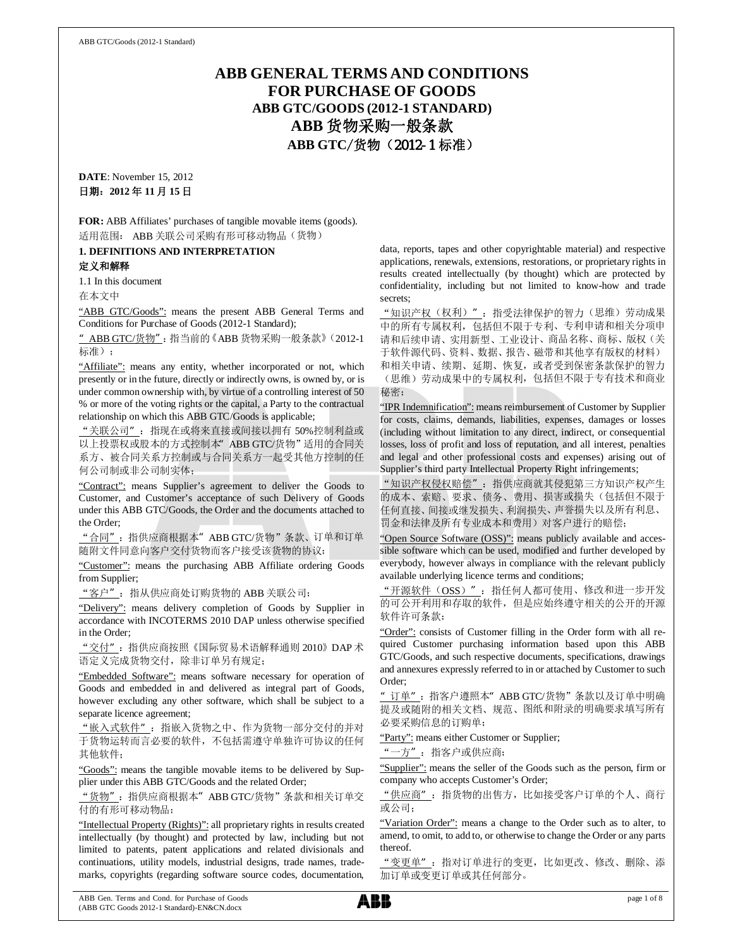# **ABB GENERAL TERMS AND CONDITIONS FOR PURCHASE OF GOODS ABB GTC/GOODS (2012-1 STANDARD)**  ABB 货物采购一般条款 ABB GTC/货物 (2012-1 标准)

**DATE**: November 15, 2012 日期: 2012年11月15日

**FOR:** ABB Affiliates' purchases of tangible movable items (goods). 适用范围: ABB 关联公司采购有形可移动物品(货物)

**1. DEFINITIONS AND INTERPRETATION** 

## 定义和解释

1.1 In this document

在本文中

"ABB GTC/Goods": means the present ABB General Terms and Conditions for Purchase of Goods (2012-1 Standard);

" ABB GTC/货物": 指当前的《ABB 货物采购一般条款》(2012-1 标准):

"Affiliate": means any entity, whether incorporated or not, which presently or in the future, directly or indirectly owns, is owned by, or is under common ownership with, by virtue of a controlling interest of 50 % or more of the voting rights or the capital, a Party to the contractual relationship on which this ABB GTC/Goods is applicable;

"关联公司": 指现在或将来直接或间接以拥有 50%控制利益或 以上投票权或股本的方式控制本" ABB GTC/货物"适用的合同关 系方、被合同关系方控制或与合同关系方一起受其他方控制的任 何公司制或非公司制实体:

"Contract": means Supplier's agreement to deliver the Goods to Customer, and Customer's acceptance of such Delivery of Goods under this ABB GTC/Goods, the Order and the documents attached to the Order;

"合同": 指供应商根据本" ABB GTC/货物"条款、订单和订单 随附文件同意向客户交付货物而客户接受该货物的协议;

"Customer": means the purchasing ABB Affiliate ordering Goods from Supplier;

"客户": 指从供应商处订购货物的 ABB 关联公司;

"Delivery": means delivery completion of Goods by Supplier in accordance with INCOTERMS 2010 DAP unless otherwise specified in the Order;

"交付": 指供应商按照《国际贸易术语解释通则 2010》 DAP 术 语定义完成货物交付, 除非订单另有规定:

"Embedded Software": means software necessary for operation of Goods and embedded in and delivered as integral part of Goods, however excluding any other software, which shall be subject to a separate licence agreement;

"嵌入式软件": 指嵌入货物之中、作为货物一部分交付的并对 于货物运转而言必要的软件,不包括需遵守单独许可协议的任何 其他软件;

"Goods": means the tangible movable items to be delivered by Supplier under this ABB GTC/Goods and the related Order;

"货物": 指供应商根据本" ABB GTC/货物"条款和相关订单交 付的有形可移动物品;

"Intellectual Property (Rights)": all proprietary rights in results created intellectually (by thought) and protected by law, including but not limited to patents, patent applications and related divisionals and continuations, utility models, industrial designs, trade names, trademarks, copyrights (regarding software source codes, documentation,

data, reports, tapes and other copyrightable material) and respective applications, renewals, extensions, restorations, or proprietary rights in results created intellectually (by thought) which are protected by confidentiality, including but not limited to know-how and trade secrets;

"知识产权(权利)": 指受法律保护的智力(思维)劳动成果 中的所有专属权利, 包括但不限于专利、专利申请和相关分项申 请和后续申请、实用新型、工业设计、商品名称、商标、版权(关 于软件源代码、资料、数据、报告、磁带和其他享有版权的材料) 和相关申请、续期、延期、恢复, 或者受到保密条款保护的智力 (思维)劳动成果中的专属权利,包括但不限于专有技术和商业 秘密:

"IPR Indemnification": means reimbursement of Customer by Supplier for costs, claims, demands, liabilities, expenses, damages or losses (including without limitation to any direct, indirect, or consequential losses, loss of profit and loss of reputation, and all interest, penalties and legal and other professional costs and expenses) arising out of Supplier's third party Intellectual Property Right infringements;

"知识产权侵权赔偿": 指供应商就其侵犯第三方知识产权产生 的成本、索赔、要求、债务、费用、损害或损失(包括但不限于 任何直接、间接或继发损失、利润损失、声誉损失以及所有利息、 罚金和法律及所有专业成本和费用)对客户进行的赔偿;

"Open Source Software (OSS)": means publicly available and accessible software which can be used, modified and further developed by everybody, however always in compliance with the relevant publicly available underlying licence terms and conditions;

"开源软件(OSS)": 指任何人都可使用、修改和进一步开发 的可公开利用和存取的软件, 但是应始终遵守相关的公开的开源 软件许可条款:

"Order": consists of Customer filling in the Order form with all required Customer purchasing information based upon this ABB GTC/Goods, and such respective documents, specifications, drawings and annexures expressly referred to in or attached by Customer to such Order;

" 订单": 指客户遵照本" ABB GTC/货物"条款以及订单中明确 提及或随附的相关文档、规范、图纸和附录的明确要求填写所有 必要采购信息的订购单;

"Party": means either Customer or Supplier;

"一方": 指客户或供应商;

"Supplier": means the seller of the Goods such as the person, firm or company who accepts Customer's Order;

"供应商": 指货物的出售方, 比如接受客户订单的个人、商行 或公司;

"Variation Order": means a change to the Order such as to alter, to amend, to omit, to add to, or otherwise to change the Order or any parts thereof.

"变更单": 指对订单进行的变更, 比如更改、修改、删除、添 加订单或变更订单或其任何部分。

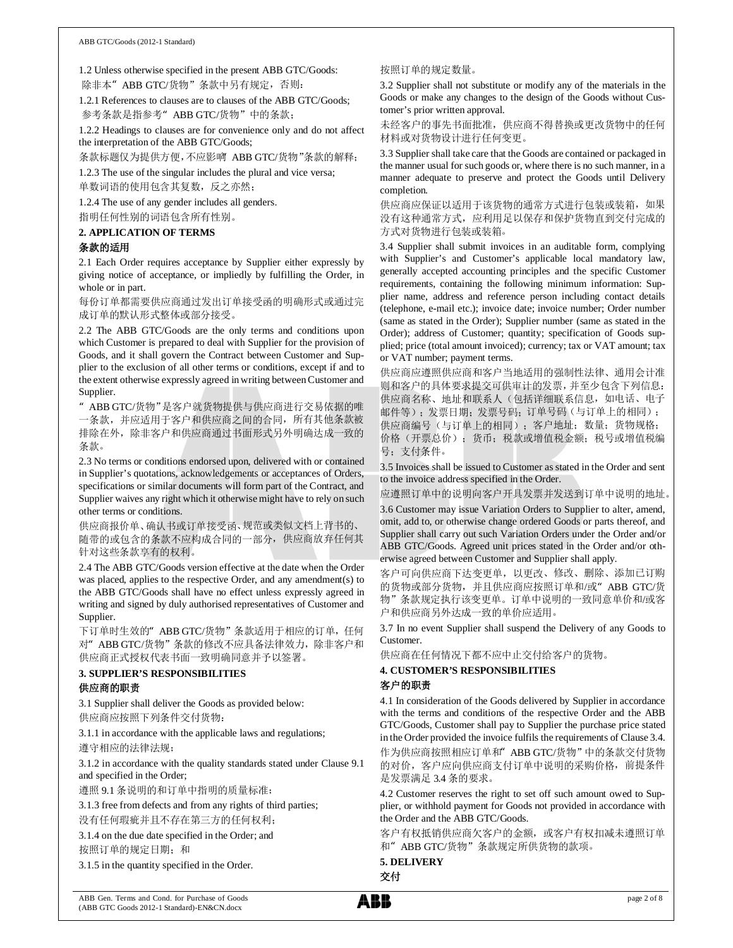1.2 Unless otherwise specified in the present ABB GTC/Goods: 除非本" ABB GTC/货物"条款中另有规定, 否则:

1.2.1 References to clauses are to clauses of the ABB GTC/Goods; 参考条款是指参考" ABB GTC/货物"中的条款:

1.2.2 Headings to clauses are for convenience only and do not affect the interpretation of the ABB GTC/Goods;

条款标题仅为提供方便,不应影响 ABB GTC/货物"条款的解释;

1.2.3 The use of the singular includes the plural and vice versa; 单数词语的使用包含其复数, 反之亦然;

1.2.4 The use of any gender includes all genders. 指明任何性别的词语包含所有性别。

#### **2. APPLICATION OF TERMS**

## 条款的适用

2.1 Each Order requires acceptance by Supplier either expressly by giving notice of acceptance, or impliedly by fulfilling the Order, in whole or in part.

每份订单都需要供应商通过发出订单接受函的明确形式或通过完 成订单的默认形式整体或部分接受。

2.2 The ABB GTC/Goods are the only terms and conditions upon which Customer is prepared to deal with Supplier for the provision of Goods, and it shall govern the Contract between Customer and Supplier to the exclusion of all other terms or conditions, except if and to the extent otherwise expressly agreed in writing between Customer and Supplier.

" ABB GTC/货物"是客户就货物提供与供应商进行交易依据的唯 一条款, 并应适用于客户和供应商之间的合同, 所有其他条款被 排除在外, 除非客户和供应商通过书面形式另外明确达成一致的 各款。

2.3 No terms or conditions endorsed upon, delivered with or contained in Supplier's quotations, acknowledgements or acceptances of Orders, specifications or similar documents will form part of the Contract, and Supplier waives any right which it otherwise might have to rely on such other terms or conditions.

供应商报价单、确认书或订单接受函、规范或类似文档上背书的、 随带的或包含的条款不应构成合同的一部分, 供应商放弃任何其 针对这些条款享有的权利。

2.4 The ABB GTC/Goods version effective at the date when the Order was placed, applies to the respective Order, and any amendment(s) to the ABB GTC/Goods shall have no effect unless expressly agreed in writing and signed by duly authorised representatives of Customer and Supplier.

下订单时生效的" ABB GTC/货物"条款适用于相应的订单, 任何 对" ABB GTC/货物"条款的修改不应具备法律效力,除非客户和 供应商正式授权代表书面一致明确同意并予以签署。

## **3. SUPPLIER'S RESPONSIBILITIES**

## 供应商的职责

3.1 Supplier shall deliver the Goods as provided below: 供应商应按照下列条件交付货物:

3.1.1 in accordance with the applicable laws and regulations; 遵守相应的法律法规;

3.1.2 in accordance with the quality standards stated under Clause 9.1 and specified in the Order;

遵照 9.1 条说明的和订单中指明的质量标准;

3.1.3 free from defects and from any rights of third parties;

没有任何瑕疵并且不存在第三方的任何权利;

3.1.4 on the due date specified in the Order; and 按照订单的规定日期; 和

3.1.5 in the quantity specified in the Order.

#### 按照订单的规定数量。

3.2 Supplier shall not substitute or modify any of the materials in the Goods or make any changes to the design of the Goods without Customer's prior written approval.

未经客户的事先书面批准, 供应商不得替换或更改货物中的任何 材料或对货物设计进行任何变更。

3.3 Supplier shall take care that the Goods are contained or packaged in the manner usual for such goods or, where there is no such manner, in a manner adequate to preserve and protect the Goods until Delivery completion.

供应商应保证以适用于该货物的通常方式进行包装或装箱, 如果 没有这种通常方式, 应利用足以保存和保护货物直到交付完成的 方式对货物进行包装或装箱。

3.4 Supplier shall submit invoices in an auditable form, complying with Supplier's and Customer's applicable local mandatory law, generally accepted accounting principles and the specific Customer requirements, containing the following minimum information: Supplier name, address and reference person including contact details (telephone, e-mail etc.); invoice date; invoice number; Order number (same as stated in the Order); Supplier number (same as stated in the Order); address of Customer; quantity; specification of Goods supplied; price (total amount invoiced); currency; tax or VAT amount; tax or VAT number; payment terms.

供应商应遶照供应商和客户当地适用的强制性法律、通用会计准 则和客户的具体要求提交可供审计的发票,并至少包含下列信息: 供应商名称、地址和联系人(包括详细联系信息, 如电话、电子 邮件等); 发票日期; 发票号码; 订单号码(与订单上的相同); 供应商编号(与订单上的相同);客户地址;数量;货物规格; 价格 (开票总价); 货币; 税款或增值税金额; 税号或增值税编 号: 支付条件。

3.5 Invoices shall be issued to Customer as stated in the Order and sent to the invoice address specified in the Order.

应遵照订单中的说明向客户开具发票并发送到订单中说明的地址。

3.6 Customer may issue Variation Orders to Supplier to alter, amend, omit, add to, or otherwise change ordered Goods or parts thereof, and Supplier shall carry out such Variation Orders under the Order and/or ABB GTC/Goods. Agreed unit prices stated in the Order and/or otherwise agreed between Customer and Supplier shall apply.

客户可向供应商下达变更单, 以更改、修改、删除、添加己订购 的货物或部分货物, 并且供应商应按照订单和/或" ABB GTC/货 物"条款规定执行该变更单。订单中说明的一致同意单价和/或客 户和供应商另外达成一致的单价应适用。

3.7 In no event Supplier shall suspend the Delivery of any Goods to Customer.

供应商在任何情况下都不应中止交付给客户的货物。

## **4. CUSTOMER'S RESPONSIBILITIES**

#### 客户的职责

4.1 In consideration of the Goods delivered by Supplier in accordance with the terms and conditions of the respective Order and the ABB GTC/Goods, Customer shall pay to Supplier the purchase price stated in the Order provided the invoice fulfils the requirements of Clause 3.4. 作为供应商按照相应订单和" ABB GTC/货物"中的条款交付货物 的对价, 客户应向供应商支付订单中说明的采购价格, 前提条件 是发票满足 3.4 条的要求。

4.2 Customer reserves the right to set off such amount owed to Supplier, or withhold payment for Goods not provided in accordance with the Order and the ABB GTC/Goods.

客户有权抵销供应商欠客户的金额, 或客户有权扣减未遵照订单 和" ABB GTC/货物"条款规定所供货物的款项。

**5. DELIVERY**  交付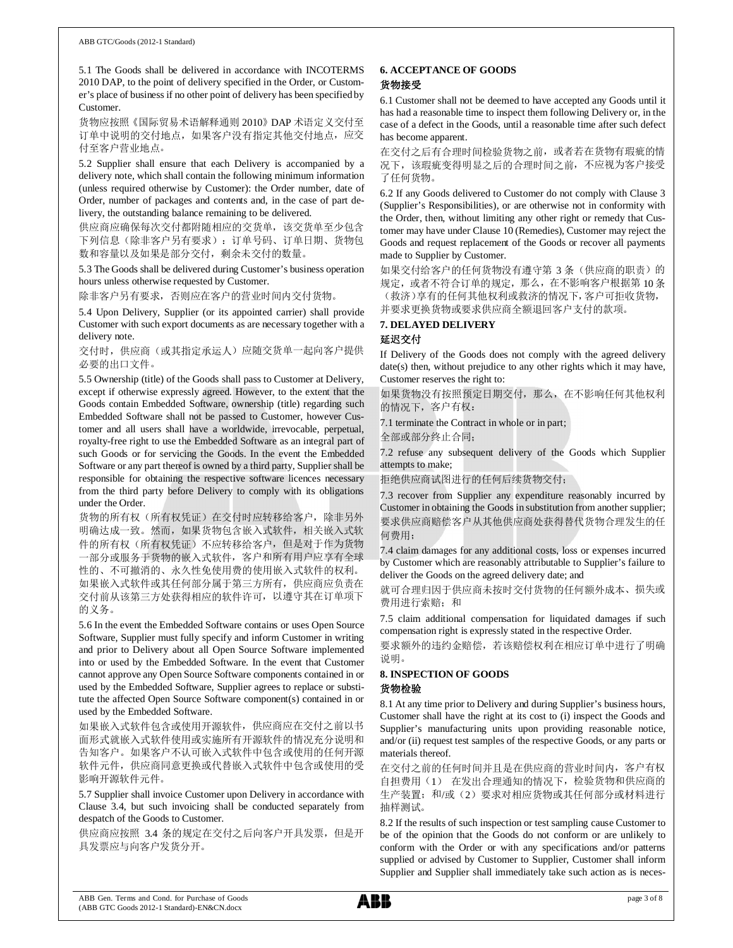5.1 The Goods shall be delivered in accordance with INCOTERMS 2010 DAP, to the point of delivery specified in the Order, or Customer's place of business if no other point of delivery has been specified by Customer.

货物应按照《国际贸易术语解释通则 2010》 DAP 术语定义交付至 订单中说明的交付地点, 如果客户没有指定其他交付地点, 应交 付至客户营业地点。

5.2 Supplier shall ensure that each Delivery is accompanied by a delivery note, which shall contain the following minimum information (unless required otherwise by Customer): the Order number, date of Order, number of packages and contents and, in the case of part delivery, the outstanding balance remaining to be delivered.

供应商应确保每次交付都附随相应的交货单, 该交货单至少包含 下列信息(除非客户另有要求): 订单号码、订单日期、货物包 数和容量以及如果是部分交付,剩余未交付的数量。

5.3 The Goods shall be delivered during Customer's business operation hours unless otherwise requested by Customer.

除非客户另有要求,否则应在客户的营业时间内交付货物。

5.4 Upon Delivery, Supplier (or its appointed carrier) shall provide Customer with such export documents as are necessary together with a delivery note.

交付时,供应商(或其指定承运人)应随交货单一起向客户提供 必要的出口文件。

5.5 Ownership (title) of the Goods shall pass to Customer at Delivery, except if otherwise expressly agreed. However, to the extent that the Goods contain Embedded Software, ownership (title) regarding such Embedded Software shall not be passed to Customer, however Customer and all users shall have a worldwide, irrevocable, perpetual, royalty-free right to use the Embedded Software as an integral part of such Goods or for servicing the Goods. In the event the Embedded Software or any part thereof is owned by a third party, Supplier shall be responsible for obtaining the respective software licences necessary from the third party before Delivery to comply with its obligations under the Order.

货物的所有权(所有权凭证)在交付时应转移给客户,除非另外 明确达成一致。然而, 如果货物包含嵌入式软件, 相关嵌入式软 件的所有权(所有权凭证)不应转移给客户,但是对于作为货物 一部分或服务于货物的嵌入式软件, 客户和所有用户应享有全球 性的、不可撤消的、永久性免使用费的使用嵌入式软件的权利。 如果嵌入式软件或其任何部分属于第三方所有, 供应商应负责在 交付前从该第三方处获得相应的软件许可, 以遵守其在订单项下

的义务。

5.6 In the event the Embedded Software contains or uses Open Source Software, Supplier must fully specify and inform Customer in writing and prior to Delivery about all Open Source Software implemented into or used by the Embedded Software. In the event that Customer cannot approve any Open Source Software components contained in or used by the Embedded Software, Supplier agrees to replace or substitute the affected Open Source Software component(s) contained in or used by the Embedded Software.

如果嵌入式软件包含或使用开源软件, 供应商应在交付之前以书 面形式就嵌入式软件使用或实施所有开源软件的情况充分说明和 告知客户。如果客户不认可嵌入式软件中包含或使用的任何开源 软件元件,供应商同意更换或代替嵌入式软件中包含或使用的受 影响开源软件元件。

5.7 Supplier shall invoice Customer upon Delivery in accordance with Clause 3.4, but such invoicing shall be conducted separately from despatch of the Goods to Customer.

供应商应按照 3.4 条的规定在交付之后向客户开具发票,但是开 具发票应与向客户发货分开。

#### **6. ACCEPTANCE OF GOODS** 货物接受

6.1 Customer shall not be deemed to have accepted any Goods until it has had a reasonable time to inspect them following Delivery or, in the case of a defect in the Goods, until a reasonable time after such defect has become apparent.

在交付之后有合理时间检验货物之前, 或者若在货物有瑕疵的情 况下,该瑕疵变得明显之后的合理时间之前,不应视为客户接受 了任何货物。

6.2 If any Goods delivered to Customer do not comply with Clause 3 (Supplier's Responsibilities), or are otherwise not in conformity with the Order, then, without limiting any other right or remedy that Customer may have under Clause 10 (Remedies), Customer may reject the Goods and request replacement of the Goods or recover all payments made to Supplier by Customer.

如果交付给客户的任何货物没有遵守第3条(供应商的职责)的 规定, 或者不符合订单的规定, 那么, 在不影响客户根据第10条 (救济)享有的任何其他权利或救济的情况下,客户可拒收货物, 并要求更换货物或要求供应商全额退回客户支付的款项。

## 7. DELAYED DELIVERY 延迟交付

If Delivery of the Goods does not comply with the agreed delivery date(s) then, without prejudice to any other rights which it may have, Customer reserves the right to:

如果货物没有按照预定日期交付, 那么, 在不影响任何其他权利 的情况下,客户有权:

7.1 terminate the Contract in whole or in part;

全部或部分终止合同;

7.2 refuse any subsequent delivery of the Goods which Supplier attempts to make;

拒绝供应商试图进行的任何后续货物交付;

7.3 recover from Supplier any expenditure reasonably incurred by Customer in obtaining the Goods in substitution from another supplier; 要求供应商赔偿客户从其他供应商处获得替代货物合理发生的任 何费用:

7.4 claim damages for any additional costs, loss or expenses incurred by Customer which are reasonably attributable to Supplier's failure to deliver the Goods on the agreed delivery date; and

就可合理归因于供应商未按时交付货物的任何额外成本、损失或 费用进行索赔;和

7.5 claim additional compensation for liquidated damages if such compensation right is expressly stated in the respective Order.

要求额外的违约金赔偿,若该赔偿权利在相应订单中进行了明确 说明。

## **8. INSPECTION OF GOODS**

#### 货物检验

8.1 At any time prior to Delivery and during Supplier's business hours, Customer shall have the right at its cost to (i) inspect the Goods and Supplier's manufacturing units upon providing reasonable notice, and/or (ii) request test samples of the respective Goods, or any parts or materials thereof.

在交付之前的任何时间并且是在供应商的营业时间内, 客户有权 自担费用(1) 在发出合理通知的情况下, 检验货物和供应商的 生产装置; 和/或(2)要求对相应货物或其任何部分或材料进行 抽样测试。

8.2 If the results of such inspection or test sampling cause Customer to be of the opinion that the Goods do not conform or are unlikely to conform with the Order or with any specifications and/or patterns supplied or advised by Customer to Supplier, Customer shall inform Supplier and Supplier shall immediately take such action as is neces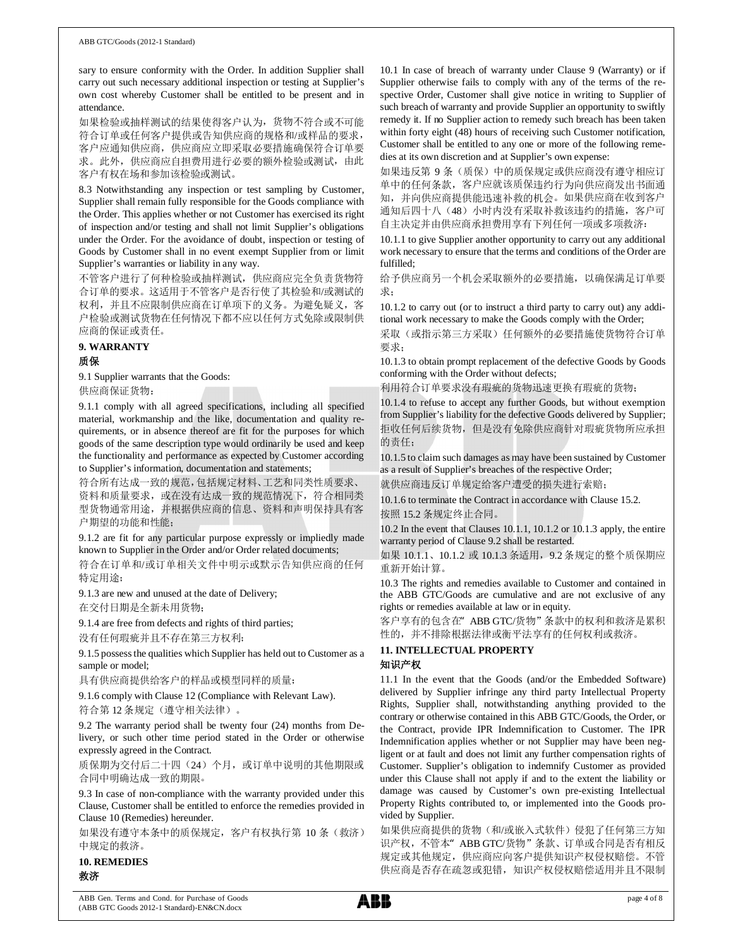sary to ensure conformity with the Order. In addition Supplier shall carry out such necessary additional inspection or testing at Supplier's own cost whereby Customer shall be entitled to be present and in attendance.

如果检验或抽样测试的结果使得客户认为, 货物不符合或不可能 符合订单或任何客户提供或告知供应商的规格和/或样品的要求, 客户应通知供应商, 供应商应立即采取必要措施确保符合订单要 求。此外, 供应商应自担费用进行必要的额外检验或测试, 由此 客户有权在场和参加该检验或测试。

8.3 Notwithstanding any inspection or test sampling by Customer, Supplier shall remain fully responsible for the Goods compliance with the Order. This applies whether or not Customer has exercised its right of inspection and/or testing and shall not limit Supplier's obligations under the Order. For the avoidance of doubt, inspection or testing of Goods by Customer shall in no event exempt Supplier from or limit Supplier's warranties or liability in any way.

不管客户进行了何种检验或抽样测试, 供应商应完全负责货物符 合订单的要求。这适用于不管客户是否行使了其检验和/或测试的 权利,并且不应限制供应商在订单项下的义务。为避免疑义, 客 户检验或测试货物在任何情况下都不应以任何方式免除或限制供 应商的保证或责任。

#### 9. WARRANTY

## 质保

9.1 Supplier warrants that the Goods:

供应商保证货物:

9.1.1 comply with all agreed specifications, including all specified material, workmanship and the like, documentation and quality requirements, or in absence thereof are fit for the purposes for which goods of the same description type would ordinarily be used and keep the functionality and performance as expected by Customer according to Supplier's information, documentation and statements;

符合所有达成一致的规范,包括规定材料、工艺和同类性质要求、 资料和质量要求, 或在没有达成一致的规范情况下, 符合相同类 型货物通常用途, 并根据供应商的信息、资料和声明保持具有客 户期望的功能和性能;

9.1.2 are fit for any particular purpose expressly or impliedly made known to Supplier in the Order and/or Order related documents;

符合在订单和/或订单相关文件中明示或默示告知供应商的任何 特定用途;

9.1.3 are new and unused at the date of Delivery;

在交付日期是全新未用货物;

9.1.4 are free from defects and rights of third parties;

没有任何瑕疵并且不存在第三方权利;

9.1.5 possess the qualities which Supplier has held out to Customer as a sample or model;

具有供应商提供给客户的样品或模型同样的质量;

9.1.6 comply with Clause 12 (Compliance with Relevant Law). 符合第12条规定(遵守相关法律)。

9.2 The warranty period shall be twenty four (24) months from Delivery, or such other time period stated in the Order or otherwise expressly agreed in the Contract.

质保期为交付后二十四(24)个月,或订单中说明的其他期限或 合同中明确达成一致的期限。

9.3 In case of non-compliance with the warranty provided under this Clause, Customer shall be entitled to enforce the remedies provided in Clause 10 (Remedies) hereunder.

如果没有遵守本条中的质保规定,客户有权执行第 10 条(救济) 中规定的救济。

10. REMEDIES 救济

10.1 In case of breach of warranty under Clause 9 (Warranty) or if Supplier otherwise fails to comply with any of the terms of the respective Order, Customer shall give notice in writing to Supplier of such breach of warranty and provide Supplier an opportunity to swiftly remedy it. If no Supplier action to remedy such breach has been taken within forty eight (48) hours of receiving such Customer notification, Customer shall be entitled to any one or more of the following remedies at its own discretion and at Supplier's own expense:

如果违反第9条(质保)中的质保规定或供应商没有遵守相应订 单中的任何条款, 客户应就该质保违约行为向供应商发出书面通 知,并向供应商提供能迅速补救的机会。如果供应商在收到客户 通知后四十八(48)小时内没有采取补救该违约的措施, 客户可 自主决定并由供应商承担费用享有下列任何一项或多项救济:

10.1.1 to give Supplier another opportunity to carry out any additional work necessary to ensure that the terms and conditions of the Order are fulfilled;

给予供应商另一个机会采取额外的必要措施,以确保满足订单要 求:

10.1.2 to carry out (or to instruct a third party to carry out) any additional work necessary to make the Goods comply with the Order;

采取(或指示第三方采取)任何额外的必要措施使货物符合订单 要求:

10.1.3 to obtain prompt replacement of the defective Goods by Goods conforming with the Order without defects;

利用符合订单要求没有瑕疵的货物迅速更换有瑕疵的货物;

10.1.4 to refuse to accept any further Goods, but without exemption from Supplier's liability for the defective Goods delivered by Supplier; 拒收任何后续货物, 但是没有免除供应商针对瑕疵货物所应承担 的责任;

10.1.5 to claim such damages as may have been sustained by Customer as a result of Supplier's breaches of the respective Order;

就供应商违反订单规定给客户遭受的损失进行索赔;

10.1.6 to terminate the Contract in accordance with Clause 15.2. 按照15.2条规定终止合同。

10.2 In the event that Clauses 10.1.1, 10.1.2 or 10.1.3 apply, the entire warranty period of Clause 9.2 shall be restarted.

如果 10.1.1、10.1.2 或 10.1.3 条适用, 9.2 条规定的整个质保期应 重新开始计算。

10.3 The rights and remedies available to Customer and contained in the ABB GTC/Goods are cumulative and are not exclusive of any rights or remedies available at law or in equity.

客户享有的包含在"ABB GTC/货物"条款中的权利和救济是累积 性的,并不排除根据法律或衡平法享有的任何权利或救济。

## 11. INTELLECTUAL PROPERTY

#### 知识产权

11.1 In the event that the Goods (and/or the Embedded Software) delivered by Supplier infringe any third party Intellectual Property Rights, Supplier shall, notwithstanding anything provided to the contrary or otherwise contained in this ABB GTC/Goods, the Order, or the Contract, provide IPR Indemnification to Customer. The IPR Indemnification applies whether or not Supplier may have been negligent or at fault and does not limit any further compensation rights of Customer. Supplier's obligation to indemnify Customer as provided under this Clause shall not apply if and to the extent the liability or damage was caused by Customer's own pre-existing Intellectual Property Rights contributed to, or implemented into the Goods provided by Supplier.

如果供应商提供的货物(和/或嵌入式软件)侵犯了任何第三方知 识产权,不管本" ABB GTC/货物"条款、订单或合同是否有相反 规定或其他规定, 供应商应向客户提供知识产权侵权赔偿。 不管 供应商是否存在疏忽或犯错, 知识产权侵权赔偿适用并且不限制

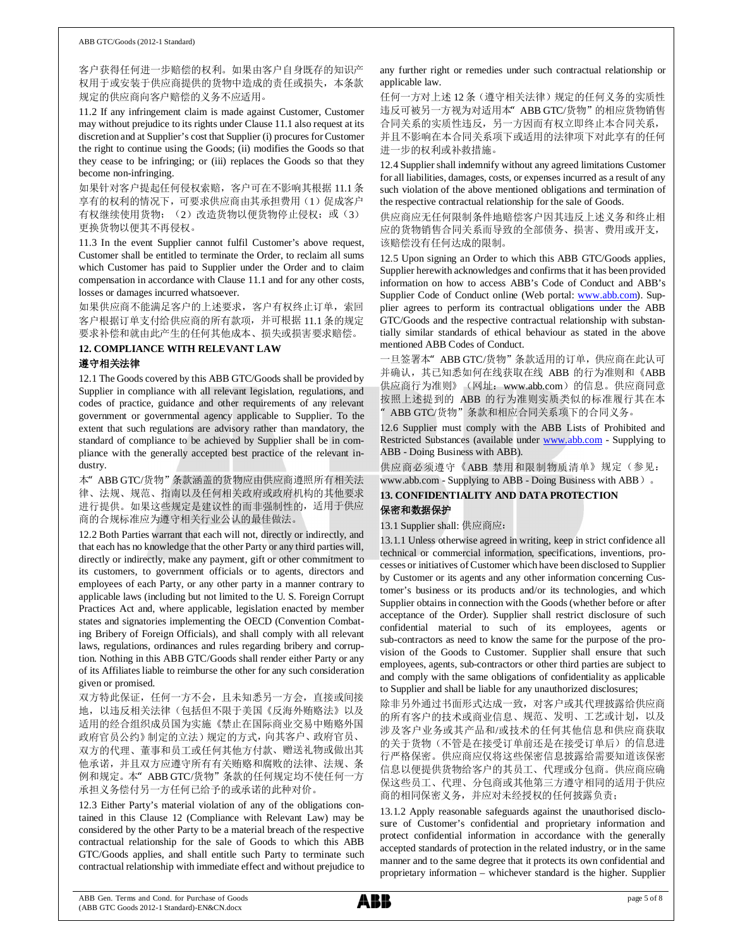#### ABB GTC/Goods (2012-1 Standard)

客户获得任何进一步赔偿的权利。如果由客户自身既存的知识产 权用于或安装于供应商提供的货物中造成的责任或损失,本条款 规定的供应商向客户赔偿的义务不应适用。

11.2 If any infringement claim is made against Customer, Customer may without prejudice to its rights under Clause 11.1 also request at its discretion and at Supplier's cost that Supplier (i) procures for Customer the right to continue using the Goods; (ii) modifies the Goods so that they cease to be infringing; or (iii) replaces the Goods so that they become non-infringing.

如果针对客户提起任何侵权索赔, 客户可在不影响其根据 11.1 条 享有的权利的情况下,可要求供应商由其承担费用(1)促成客户 有权继续使用货物; (2)改造货物以便货物停止侵权; 或(3) 更换货物以便其不再侵权。

11.3 In the event Supplier cannot fulfil Customer's above request, Customer shall be entitled to terminate the Order, to reclaim all sums which Customer has paid to Supplier under the Order and to claim compensation in accordance with Clause 11.1 and for any other costs, losses or damages incurred whatsoever.

如果供应商不能满足客户的上述要求, 客户有权终止订单, 索回 客户根据订单支付给供应商的所有款项, 并可根据 11.1 条的规定 要求补偿和就由此产生的任何其他成本、损失或损害要求赔偿。

## 12. COMPLIANCE WITH RELEVANT LAW 遵守相关法律

12.1 The Goods covered by this ABB GTC/Goods shall be provided by Supplier in compliance with all relevant legislation, regulations, and codes of practice, guidance and other requirements of any relevant government or governmental agency applicable to Supplier. To the extent that such regulations are advisory rather than mandatory, the standard of compliance to be achieved by Supplier shall be in compliance with the generally accepted best practice of the relevant industry.

本" ABB GTC/货物"条款涵盖的货物应由供应商遵照所有相关法 律、法规、规范、指南以及任何相关政府或政府机构的其他要求 进行提供。如果这些规定是建议性的而非强制性的,适用于供应 商的合规标准应为遵守相关行业公认的最佳做法。

12.2 Both Parties warrant that each will not, directly or indirectly, and that each has no knowledge that the other Party or any third parties will, directly or indirectly, make any payment, gift or other commitment to its customers, to government officials or to agents, directors and employees of each Party, or any other party in a manner contrary to applicable laws (including but not limited to the U.S. Foreign Corrupt Practices Act and, where applicable, legislation enacted by member states and signatories implementing the OECD (Convention Combating Bribery of Foreign Officials), and shall comply with all relevant laws, regulations, ordinances and rules regarding bribery and corruption. Nothing in this ABB GTC/Goods shall render either Party or any of its Affiliates liable to reimburse the other for any such consideration given or promised.

双方特此保证, 任何一方不会, 且未知悉另一方会, 直接或间接 地,以违反相关法律(包括但不限于美国《反海外贿赂法》以及 适用的经合组织成员国为实施《禁止在国际商业交易中贿赂外国 政府官员公约》制定的立法)规定的方式,向其客户、政府官员、 双方的代理、董事和员工或任何其他方付款、赠送礼物或做出其 他承诺,并且双方应遵守所有有关贿赂和腐败的法律、法规、条 例和规定。本" ABB GTC/货物"条款的任何规定均不使任何一方 承担义务偿付另一方任何已给予的或承诺的此种对价。

12.3 Either Party's material violation of any of the obligations contained in this Clause 12 (Compliance with Relevant Law) may be considered by the other Party to be a material breach of the respective contractual relationship for the sale of Goods to which this ABB GTC/Goods applies, and shall entitle such Party to terminate such contractual relationship with immediate effect and without prejudice to

any further right or remedies under such contractual relationship or applicable law.

任何一方对上述12条(遵守相关法律)规定的任何义务的实质性 违反可被另一方视为对适用本" ABB GTC/货物"的相应货物销售 合同关系的实质性违反,另一方因而有权立即终止本合同关系, 并且不影响在本合同关系项下或适用的法律项下对此享有的任何 进一步的权利或补救措施。

12.4 Supplier shall indemnify without any agreed limitations Customer for all liabilities, damages, costs, or expenses incurred as a result of any such violation of the above mentioned obligations and termination of the respective contractual relationship for the sale of Goods.

供应商应无任何限制条件地赔偿客户因其违反上述义务和终止相 应的货物销售合同关系而导致的全部债务、损害、费用或开支, 该赔偿没有任何达成的限制。

12.5 Upon signing an Order to which this ABB GTC/Goods applies, Supplier herewith acknowledges and confirms that it has been provided information on how to access ABB's Code of Conduct and ABB's Supplier Code of Conduct online (Web portal: www.abb.com). Supplier agrees to perform its contractual obligations under the ABB GTC/Goods and the respective contractual relationship with substantially similar standards of ethical behaviour as stated in the above mentioned ABB Codes of Conduct.

一旦签署本" ABB GTC/货物"条款适用的订单, 供应商在此认可 并确认, 其已知悉如何在线获取在线 ABB 的行为准则和《ABB 供应商行为准则》(网址: www.abb.com)的信息。供应商同意 按照上述提到的 ABB 的行为准则实质类似的标准履行其在本 " ABB GTC/货物"条款和相应合同关系项下的合同义务。

12.6 Supplier must comply with the ABB Lists of Prohibited and Restricted Substances (available under www.abb.com - Supplying to ABB - Doing Business with ABB).

供应商必须遵守《ABB 禁用和限制物质清单》规定(参见: www.abb.com - Supplying to ABB - Doing Business with ABB ) .

## 13. CONFIDENTIALITY AND DATA PROTECTION 保密和数据保护

13.1 Supplier shall: 供应商应:

13.1.1 Unless otherwise agreed in writing, keep in strict confidence all technical or commercial information, specifications, inventions, processes or initiatives of Customer which have been disclosed to Supplier by Customer or its agents and any other information concerning Customer's business or its products and/or its technologies, and which Supplier obtains in connection with the Goods (whether before or after acceptance of the Order). Supplier shall restrict disclosure of such confidential material to such of its employees, agents or sub-contractors as need to know the same for the purpose of the provision of the Goods to Customer. Supplier shall ensure that such employees, agents, sub-contractors or other third parties are subject to and comply with the same obligations of confidentiality as applicable to Supplier and shall be liable for any unauthorized disclosures;

除非另外通过书面形式达成一致, 对客户或其代理披露给供应商 的所有客户的技术或商业信息、规范、发明、工艺或计划, 以及 涉及客户业务或其产品和/或技术的任何其他信息和供应商获取 的关于货物(不管是在接受订单前还是在接受订单后)的信息进 行严格保密。供应商应仅将这些保密信息披露给需要知道该保密 信息以便提供货物给客户的其员工、代理或分包商。供应商应确 保这些员工、代理、分包商或其他第三方遵守相同的适用于供应 商的相同保密义务,并应对未经授权的任何披露负责;

13.1.2 Apply reasonable safeguards against the unauthorised disclosure of Customer's confidential and proprietary information and protect confidential information in accordance with the generally accepted standards of protection in the related industry, or in the same manner and to the same degree that it protects its own confidential and proprietary information - whichever standard is the higher. Supplier

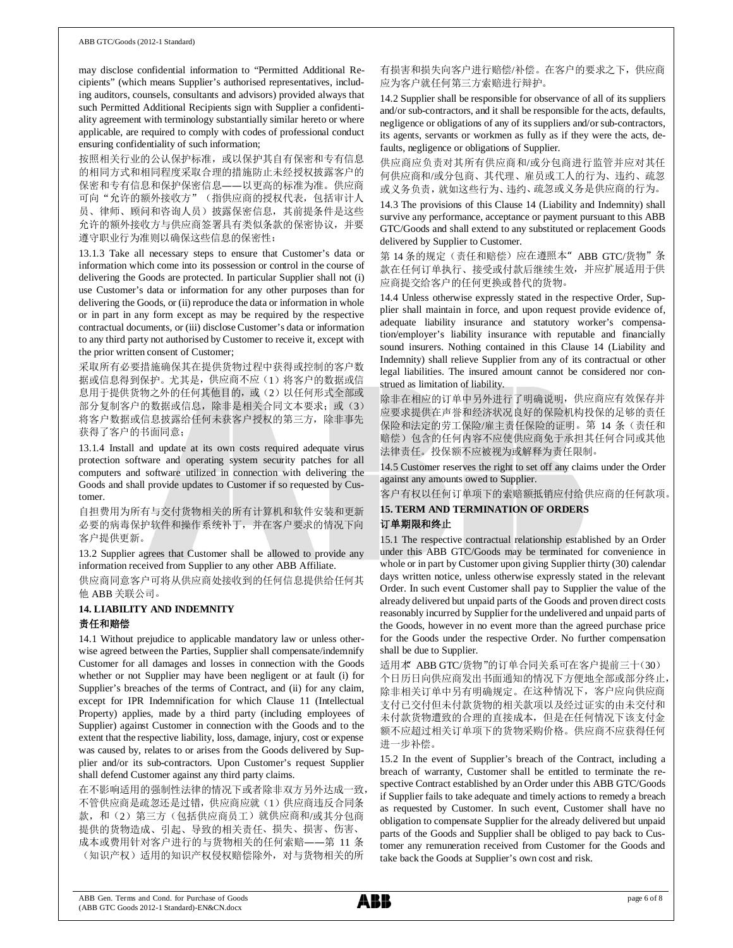#### ABB GTC/Goods (2012-1 Standard)

may disclose confidential information to "Permitted Additional Recipients" (which means Supplier's authorised representatives, including auditors, counsels, consultants and advisors) provided always that such Permitted Additional Recipients sign with Supplier a confidentiality agreement with terminology substantially similar hereto or where applicable, are required to comply with codes of professional conduct ensuring confidentiality of such information;

按照相关行业的公认保护标准, 或以保护其自有保密和专有信息 的相同方式和相同程度采取合理的措施防止未经授权披露客户的 保密和专有信息和保护保密信息——以更高的标准为准。供应商 可向"允许的额外接收方"(指供应商的授权代表,包括审计人 员、律师、顾问和咨询人员) 披露保密信息, 其前提条件是这些 允许的额外接收方与供应商签署具有类似条款的保密协议,并要 遵守职业行为准则以确保这些信息的保密性;

13.1.3 Take all necessary steps to ensure that Customer's data or information which come into its possession or control in the course of delivering the Goods are protected. In particular Supplier shall not (i) use Customer's data or information for any other purposes than for delivering the Goods, or (ii) reproduce the data or information in whole or in part in any form except as may be required by the respective contractual documents, or (iii) disclose Customer's data or information to any third party not authorised by Customer to receive it, except with the prior written consent of Customer;

采取所有必要措施确保其在提供货物过程中获得或控制的客户数 据或信息得到保护。尤其是, 供应商不应(1) 将客户的数据或信 息用于提供货物之外的任何其他目的,或(2)以任何形式全部或 部分复制客户的数据或信息, 除非是相关合同文本要求; 或(3) 将客户数据或信息披露给任何未获客户授权的第三方, 除非事先 获得了客户的书面同意;

13.1.4 Install and update at its own costs required adequate virus protection software and operating system security patches for all computers and software utilized in connection with delivering the Goods and shall provide updates to Customer if so requested by Customer

自担费用为所有与交付货物相关的所有计算机和软件安装和更新 必要的病毒保护软件和操作系统补丁, 并在客户要求的情况下向 客户提供更新。

13.2 Supplier agrees that Customer shall be allowed to provide any information received from Supplier to any other ABB Affiliate.

供应商同意客户可将从供应商处接收到的任何信息提供给任何其 他 ABB 关联公司。

## **14. LIABILITY AND INDEMNITY** 责任和赔偿

14.1 Without prejudice to applicable mandatory law or unless otherwise agreed between the Parties, Supplier shall compensate/indemnify Customer for all damages and losses in connection with the Goods whether or not Supplier may have been negligent or at fault (i) for Supplier's breaches of the terms of Contract, and (ii) for any claim, except for IPR Indemnification for which Clause 11 (Intellectual Property) applies, made by a third party (including employees of Supplier) against Customer in connection with the Goods and to the extent that the respective liability, loss, damage, injury, cost or expense was caused by, relates to or arises from the Goods delivered by Supplier and/or its sub-contractors. Upon Customer's request Supplier shall defend Customer against any third party claims.

在不影响适用的强制性法律的情况下或者除非双方另外达成一致, 不管供应商是疏忽还是过错, 供应商应就(1) 供应商违反合同条 款, 和(2) 第三方(包括供应商员工) 就供应商和/或其分包商 提供的货物造成、引起、导致的相关责任、损失、损害、伤害、 成本或费用针对客户进行的与货物相关的任何索赔——第 11 条 (知识产权)适用的知识产权侵权赔偿除外, 对与货物相关的所

有损害和损失向客户进行赔偿/补偿。在客户的要求之下, 供应商 应为客户就任何第三方索赔进行辩护。

14.2 Supplier shall be responsible for observance of all of its suppliers and/or sub-contractors, and it shall be responsible for the acts, defaults, negligence or obligations of any of its suppliers and/or sub-contractors, its agents, servants or workmen as fully as if they were the acts, defaults, negligence or obligations of Supplier.

供应商应负责对其所有供应商和/或分包商进行监管并应对其任 何供应商和/或分包商、其代理、雇员或工人的行为、违约、疏忽 或义务负责, 就如这些行为、违约、疏忽或义务是供应商的行为。

14.3 The provisions of this Clause 14 (Liability and Indemnity) shall survive any performance, acceptance or payment pursuant to this ABB GTC/Goods and shall extend to any substituted or replacement Goods delivered by Supplier to Customer.

第14条的规定(责任和赔偿)应在遵照本" ABB GTC/货物"条 款在任何订单执行、接受或付款后继续生效,并应扩展适用于供 应商提交给客户的任何更换或替代的货物。

14.4 Unless otherwise expressly stated in the respective Order, Supplier shall maintain in force, and upon request provide evidence of, adequate liability insurance and statutory worker's compensation/employer's liability insurance with reputable and financially sound insurers. Nothing contained in this Clause 14 (Liability and Indemnity) shall relieve Supplier from any of its contractual or other legal liabilities. The insured amount cannot be considered nor construed as limitation of liability.

除非在相应的订单中另外进行了明确说明, 供应商应有效保存并 应要求提供在声誉和经济状况良好的保险机构投保的足够的责任 保险和法定的劳工保险/雇主责任保险的证明。第 14 条 (责任和 赔偿)包含的任何内容不应使供应商免于承担其任何合同或其他 法律责任。投保额不应被视为或解释为责任限制。

14.5 Customer reserves the right to set off any claims under the Order against any amounts owed to Supplier.

客户有权以任何订单项下的索赔额抵销应付给供应商的任何款项。

## **15. TERM AND TERMINATION OF ORDERS**

## 订单期限和终止

15.1 The respective contractual relationship established by an Order under this ABB GTC/Goods may be terminated for convenience in whole or in part by Customer upon giving Supplier thirty (30) calendar days written notice, unless otherwise expressly stated in the relevant Order. In such event Customer shall pay to Supplier the value of the already delivered but unpaid parts of the Goods and proven direct costs reasonably incurred by Supplier for the undelivered and unpaid parts of the Goods, however in no event more than the agreed purchase price for the Goods under the respective Order. No further compensation shall be due to Supplier.

适用本 ABB GTC/货物"的订单合同关系可在客户提前三十(30) 个日历日向供应商发出书面通知的情况下方便地全部或部分终止, 除非相关订单中另有明确规定。在这种情况下, 客户应向供应商 支付已交付但未付款货物的相关款项以及经过证实的由未交付和 未付款货物遭致的合理的直接成本,但是在任何情况下该支付金 额不应超过相关订单项下的货物采购价格。供应商不应获得任何 进一步补偿。

15.2 In the event of Supplier's breach of the Contract, including a breach of warranty, Customer shall be entitled to terminate the respective Contract established by an Order under this ABB GTC/Goods if Supplier fails to take adequate and timely actions to remedy a breach as requested by Customer. In such event, Customer shall have no obligation to compensate Supplier for the already delivered but unpaid parts of the Goods and Supplier shall be obliged to pay back to Customer any remuneration received from Customer for the Goods and take back the Goods at Supplier's own cost and risk.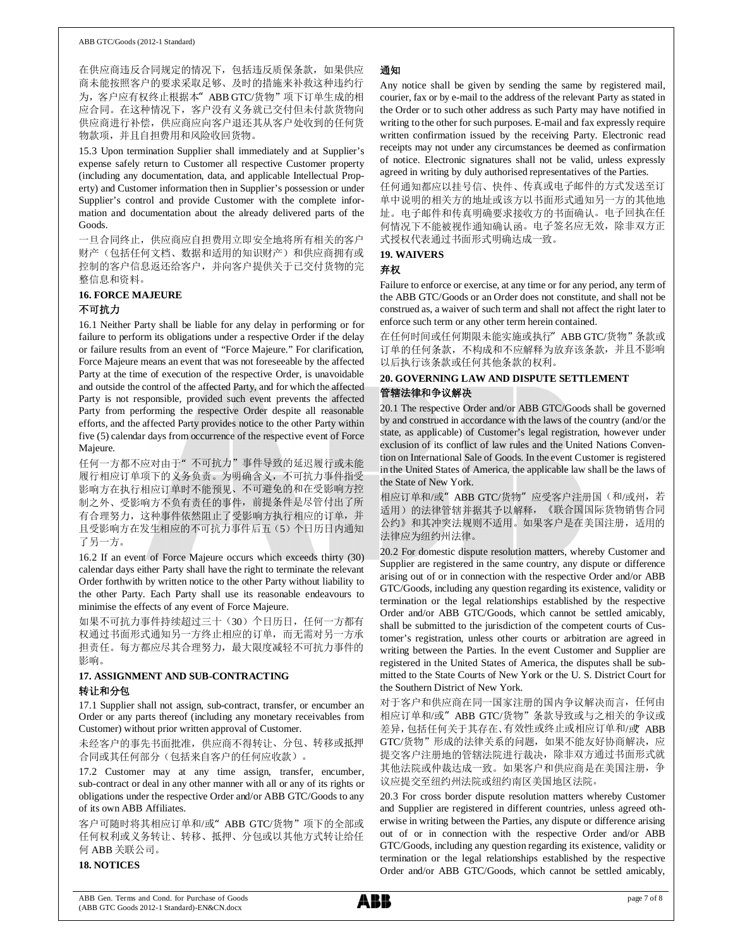在供应商违反合同规定的情况下, 包括违反质保条款, 如果供应 商未能按照客户的要求采取足够、及时的措施来补救这种违约行 为, 客户应有权终止根据本" ABB GTC/货物"项下订单生成的相 应合同。在这种情况下, 客户没有义务就已交付但未付款货物向 供应商进行补偿, 供应商应向客户退还其从客户处收到的任何货 物款项,并且自担费用和风险收回货物。

15.3 Upon termination Supplier shall immediately and at Supplier's expense safely return to Customer all respective Customer property (including any documentation, data, and applicable Intellectual Property) and Customer information then in Supplier's possession or under Supplier's control and provide Customer with the complete information and documentation about the already delivered parts of the Goods.

一旦合同终止, 供应商应自相费用立即安全地将所有相关的客户 财产(包括任何文档、数据和话用的知识财产)和供应商拥有或 控制的客户信息返还给客户,并向客户提供关于已交付货物的完 整信息和资料。

## **16. FORCE MAJEURE**

#### 不可抗力

16.1 Neither Party shall be liable for any delay in performing or for failure to perform its obligations under a respective Order if the delay or failure results from an event of "Force Majeure." For clarification, Force Majeure means an event that was not foreseeable by the affected Party at the time of execution of the respective Order, is unavoidable and outside the control of the affected Party, and for which the affected Party is not responsible, provided such event prevents the affected Party from performing the respective Order despite all reasonable efforts, and the affected Party provides notice to the other Party within five (5) calendar days from occurrence of the respective event of Force Majeure.

任何一方都不应对由于"不可抗力"事件导致的延迟履行或未能 履行相应订单项下的义务负责。为明确含义,不可抗力事件指受 影响方在执行相应订单时不能预见、不可避免的和在受影响方控 制之外、受影响方不负有责任的事件, 前提条件是尽管付出了所 有合理努力, 这种事件依然阻止了受影响方执行相应的订单, 并 且受影响方在发生相应的不可抗力事件后五(5)个日历日内通知 了另一方。

16.2 If an event of Force Majeure occurs which exceeds thirty (30) calendar days either Party shall have the right to terminate the relevant Order forthwith by written notice to the other Party without liability to the other Party. Each Party shall use its reasonable endeavours to minimise the effects of any event of Force Majeure.

如果不可抗力事件持续超过三十(30)个日历日,任何一方都有 权通过书面形式通知另一方终止相应的订单,而无需对另一方承 担责任。每方都应尽其合理努力, 最大限度减轻不可抗力事件的 影响。

## **17. ASSIGNMENT AND SUB-CONTRACTING** 转让和分包

17.1 Supplier shall not assign, sub-contract, transfer, or encumber an Order or any parts thereof (including any monetary receivables from Customer) without prior written approval of Customer.

未经客户的事先书面批准, 供应商不得转让、分包、转移或抵押 合同或其任何部分(包括来自客户的任何应收款)。

17.2 Customer may at any time assign, transfer, encumber, sub-contract or deal in any other manner with all or any of its rights or obligations under the respective Order and/or ABB GTC/Goods to any of its own ABB Affiliates.

客户可随时将其相应订单和/或" ABB GTC/货物"项下的全部或 任何权利或义务转让、转移、抵押、分包或以其他方式转让给任 何 ABB 关联公司。

**18. NOTICES** 

## 通知

Any notice shall be given by sending the same by registered mail, courier, fax or by e-mail to the address of the relevant Party as stated in the Order or to such other address as such Party may have notified in writing to the other for such purposes. E-mail and fax expressly require written confirmation issued by the receiving Party. Electronic read receipts may not under any circumstances be deemed as confirmation of notice. Electronic signatures shall not be valid, unless expressly agreed in writing by duly authorised representatives of the Parties.

任何通知都应以挂号信、快件、传真或电子邮件的方式发送至订 单中说明的相关方的地址或该方以书面形式通知另一方的其他地 址。电子邮件和传真明确要求接收方的书面确认。电子回执在任 何情况下不能被视作通知确认函。电子签名应无效,除非双方正 式授权代表通过书面形式明确达成一致。

## **19. WAIVERS**

## 弃权

Failure to enforce or exercise, at any time or for any period, any term of the ABB GTC/Goods or an Order does not constitute, and shall not be construed as, a waiver of such term and shall not affect the right later to enforce such term or any other term herein contained.

在任何时间或任何期限未能实施或执行" ABB GTC/货物"条款或 订单的任何条款, 不构成和不应解释为放弃该条款, 并且不影响 以后执行该条款或任何其他条款的权利。

# 20. GOVERNING LAW AND DISPUTE SETTLEMENT

## 管辖法律和争议解决

20.1 The respective Order and/or ABB GTC/Goods shall be governed by and construed in accordance with the laws of the country (and/or the state, as applicable) of Customer's legal registration, however under exclusion of its conflict of law rules and the United Nations Convention on International Sale of Goods. In the event Customer is registered in the United States of America, the applicable law shall be the laws of the State of New York.

相应订单和/或" ABB GTC/货物" 应受客户注册国(和/或州, 若 适用)的法律管辖并据其予以解释,《联合国国际货物销售合同 公约》和其冲突法规则不适用。如果客户是在美国注册, 适用的 法律应为纽约州法律。

20.2 For domestic dispute resolution matters, whereby Customer and Supplier are registered in the same country, any dispute or difference arising out of or in connection with the respective Order and/or ABB GTC/Goods, including any question regarding its existence, validity or termination or the legal relationships established by the respective Order and/or ABB GTC/Goods, which cannot be settled amicably, shall be submitted to the jurisdiction of the competent courts of Customer's registration, unless other courts or arbitration are agreed in writing between the Parties. In the event Customer and Supplier are registered in the United States of America, the disputes shall be submitted to the State Courts of New York or the U.S. District Court for the Southern District of New York.

对于客户和供应商在同一国家注册的国内争议解决而言, 任何由 相应订单和/或" ABB GTC/货物"条款导致或与之相关的争议或 差异,包括任何关于其存在、有效性或终止或相应订单和/或 ABB GTC/货物"形成的法律关系的问题, 如果不能友好协商解决, 应 提交客户注册地的管辖法院进行裁决, 除非双方通过书面形式就 其他法院或仲裁达成一致。如果客户和供应商是在美国注册, 争 议应提交至纽约州法院或纽约南区美国地区法院。

20.3 For cross border dispute resolution matters whereby Customer and Supplier are registered in different countries, unless agreed otherwise in writing between the Parties, any dispute or difference arising out of or in connection with the respective Order and/or ABB GTC/Goods, including any question regarding its existence, validity or termination or the legal relationships established by the respective Order and/or ABB GTC/Goods, which cannot be settled amicably,